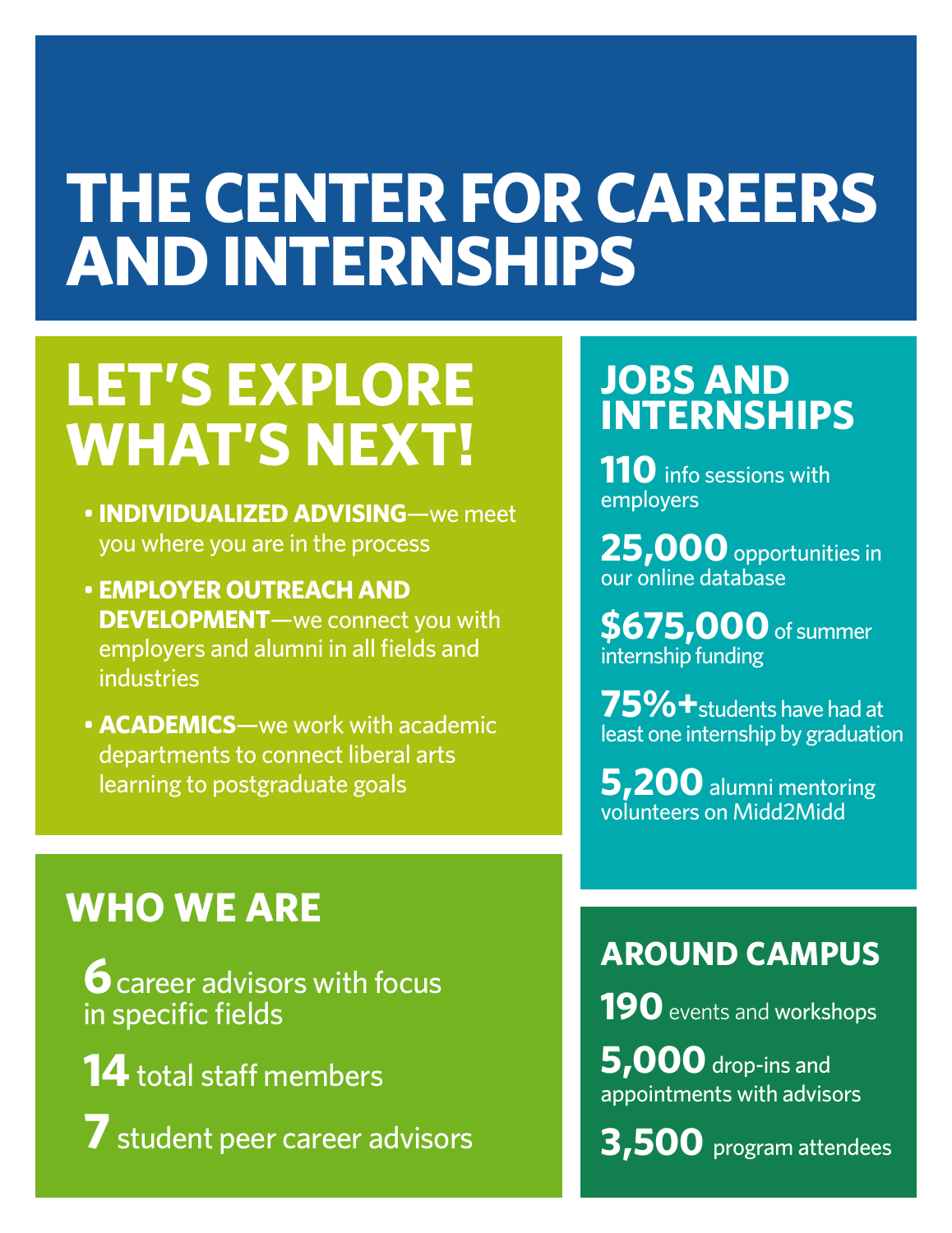# **THE CENTER FOR CAREERS AND INTERNSHIPS**

# **LET'S EXPLORE WHAT'S NEXT!**

- **INDIVIDUALIZED ADVISING**—we meet you where you are in the process
- **EMPLOYER OUTREACH AND DEVELOPMENT**—we connect you with employers and alumni in all fields and industries
- **ACADEMICS**—we work with academic departments to connect liberal arts learning to postgraduate goals

### **WHO WE ARE**

**6** career advisors with focus in specific fields

**14** total staff members

**7** student peer career advisors

### **JOBS AND INTERNSHIPS**

**110** info sessions with employers

**25,000** opportunities in our online database

**\$675,000** of summer internship funding

**75%+**students have had at least one internship by graduation

**5,200** alumni mentoring volunteers on Midd2Midd

#### **AROUND CAMPUS**

**190** events and workshops

**5,000** drop-ins and appointments with advisors

**3,500** program attendees